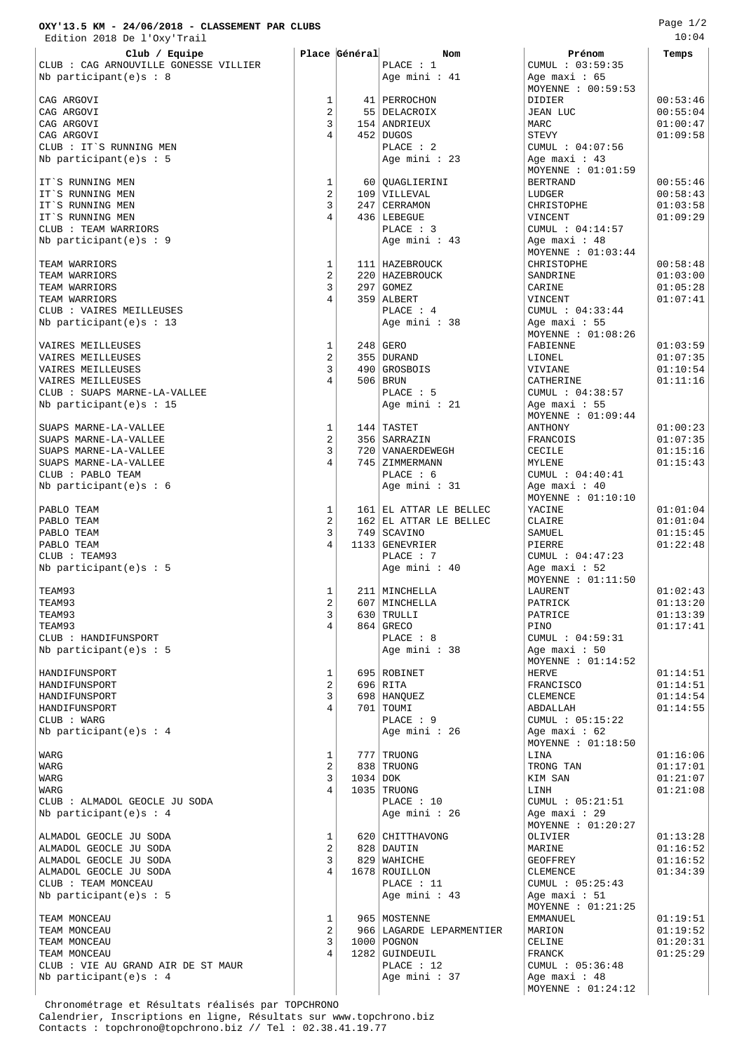## **OXY'13.5 KM - 24/06/2018 - CLASSEMENT PAR CLUBS** Edition 2018 De l'Oxy'Trail

| Club / Equipe                         |                     | Place Général | Nom                                              | Prénom                               | Temps                |
|---------------------------------------|---------------------|---------------|--------------------------------------------------|--------------------------------------|----------------------|
| CLUB : CAG ARNOUVILLE GONESSE VILLIER |                     |               | PLACE : 1                                        | CUMUL : 03:59:35                     |                      |
| Nb participant(e)s : 8                |                     |               | Age mini : 41                                    | Age maxi: $65$                       |                      |
| CAG ARGOVI                            | 1                   |               |                                                  | MOYENNE : 00:59:53                   | 00:53:46             |
| CAG ARGOVI                            | $\overline{c}$      |               | 41   PERROCHON<br>55   DELACROIX                 | DIDIER<br>JEAN LUC                   | 00:55:04             |
| CAG ARGOVI                            | 3                   |               | 154   ANDRIEUX                                   | MARC                                 | 01:00:47             |
| CAG ARGOVI                            | 4                   |               | 452   DUGOS                                      | <b>STEVY</b>                         | 01:09:58             |
| CLUB : IT'S RUNNING MEN               |                     |               | PLACE : 2                                        | CUMUL : 04:07:56                     |                      |
| Nb participant(e)s : 5                |                     |               | Age mini : 23                                    | Age maxi: $43$                       |                      |
|                                       |                     |               |                                                  | MOYENNE : 01:01:59                   |                      |
| IT'S RUNNING MEN                      | 1<br>$\overline{c}$ |               | 60   QUAGLIERINI                                 | <b>BERTRAND</b>                      | 00:55:46             |
| IT'S RUNNING MEN<br>IT'S RUNNING MEN  | 3                   |               | 109 VILLEVAL<br>247   CERRAMON                   | LUDGER<br>CHRISTOPHE                 | 00:58:43<br>01:03:58 |
| IT'S RUNNING MEN                      | 4                   |               | 436   LEBEGUE                                    | VINCENT                              | 01:09:29             |
| CLUB : TEAM WARRIORS                  |                     |               | PLACE : 3                                        | CUMUL : 04:14:57                     |                      |
| Nb participant(e)s : 9                |                     |               | Age mini : 43                                    | Age maxi: 48                         |                      |
|                                       |                     |               |                                                  | MOYENNE : $01:03:44$                 |                      |
| TEAM WARRIORS                         | 1                   |               | 111   HAZEBROUCK                                 | CHRISTOPHE                           | 00:58:48             |
| TEAM WARRIORS                         | $\overline{c}$<br>3 |               | 220   HAZEBROUCK                                 | SANDRINE                             | 01:03:00             |
| TEAM WARRIORS<br>TEAM WARRIORS        | 4                   |               | $297$ GOMEZ<br>359   ALBERT                      | CARINE<br>VINCENT                    | 01:05:28<br>01:07:41 |
| CLUB : VAIRES MEILLEUSES              |                     |               | PLACE : 4                                        | CUMUL : 04:33:44                     |                      |
| Nb participant $(e)$ s: 13            |                     |               | Age mini : 38                                    | Age maxi: 55                         |                      |
|                                       |                     |               |                                                  | MOYENNE : 01:08:26                   |                      |
| VAIRES MEILLEUSES                     | 1                   |               | $248$ GERO                                       | FABIENNE                             | 01:03:59             |
| VAIRES MEILLEUSES                     | $\overline{2}$      |               | 355   DURAND                                     | LIONEL                               | 01:07:35             |
| VAIRES MEILLEUSES                     | 3                   |               | 490 GROSBOIS                                     | VIVIANE                              | 01:10:54             |
| VAIRES MEILLEUSES                     | 4                   |               | 506   BRUN                                       | CATHERINE                            | 01:11:16             |
| CLUB : SUAPS MARNE-LA-VALLEE          |                     |               | PLACE : 5                                        | CUMUL : 04:38:57                     |                      |
| Nb participant $(e)$ s: 15            |                     |               | Age mini : 21                                    | Age maxi: $55$<br>MOYENNE : 01:09:44 |                      |
| SUAPS MARNE-LA-VALLEE                 | 1                   |               | 144   TASTET                                     | ANTHONY                              | 01:00:23             |
| SUAPS MARNE-LA-VALLEE                 | $\overline{2}$      |               | 356   SARRAZIN                                   | FRANCOIS                             | 01:07:35             |
| SUAPS MARNE-LA-VALLEE                 | 3                   |               | 720   VANAERDEWEGH                               | CECILE                               | 01:15:16             |
| SUAPS MARNE-LA-VALLEE                 |                     |               | 745   ZIMMERMANN                                 | MYLENE                               | 01:15:43             |
| CLUB : PABLO TEAM                     |                     |               | PLACE : 6                                        | CUMUL : 04:40:41                     |                      |
| Nb participant(e) $s : 6$             |                     |               | Age mini : 31                                    | Age maxi: $40$                       |                      |
|                                       | 1                   |               |                                                  | MOYENNE : $01:10:10$                 | 01:01:04             |
| PABLO TEAM<br>PABLO TEAM              | 2                   |               | 161 EL ATTAR LE BELLEC<br>162 EL ATTAR LE BELLEC | YACINE<br>CLAIRE                     | 01:01:04             |
| PABLO TEAM                            | 3                   |               | 749   SCAVINO                                    | SAMUEL                               | 01:15:45             |
| PABLO TEAM                            |                     |               | 1133   GENEVRIER                                 | PIERRE                               | 01:22:48             |
| CLUB : TEAM93                         |                     |               | PLACE : 7                                        | CUMUL : $04:47:23$                   |                      |
| Nb participant(e)s : $5$              |                     |               | Age mini : $40$                                  | Age maxi: $52$                       |                      |
|                                       |                     |               |                                                  | MOYENNE : 01:11:50                   |                      |
| TEAM93                                | 1                   |               | 211   MINCHELLA                                  | LAURENT                              | 01:02:43             |
| TEAM93<br>TEAM93                      | $\overline{2}$<br>3 |               | 607   MINCHELLA<br>630 TRULLI                    | PATRICK                              | 01:13:20             |
| TEAM93                                | 4                   |               | 864   GRECO                                      | PATRICE<br>PINO                      | 01:13:39<br>01:17:41 |
| CLUB : HANDIFUNSPORT                  |                     |               | PLACE : 8                                        | CUMUL : 04:59:31                     |                      |
| Nb participant(e)s : 5                |                     |               | Age mini : 38                                    | Age maxi: $50$                       |                      |
|                                       |                     |               |                                                  | MOYENNE : 01:14:52                   |                      |
| HANDIFUNSPORT                         | 1                   |               | 695 ROBINET                                      | HERVE                                | 01:14:51             |
| HANDIFUNSPORT                         | 2                   |               | 696 RITA                                         | FRANCISCO                            | 01:14:51             |
| HANDIFUNSPORT                         | 3                   |               | 698 HANOUEZ                                      | CLEMENCE                             | 01:14:54             |
| HANDIFUNSPORT<br>CLUB : WARG          |                     |               | 701 TOUMI<br>PLACE : 9                           | ABDALLAH<br>CUMUL : 05:15:22         | 01:14:55             |
| Nb participant(e)s : $4$              |                     |               | Age mini : 26                                    | Age maxi: $62$                       |                      |
|                                       |                     |               |                                                  | MOYENNE : 01:18:50                   |                      |
| WARG                                  | 1                   |               | 777 TRUONG                                       | LINA                                 | 01:16:06             |
| <b>WARG</b>                           | 2                   |               | 838   TRUONG                                     | TRONG TAN                            | 01:17:01             |
| WARG                                  | 3                   | $1034$ DOK    |                                                  | KIM SAN                              | 01:21:07             |
| WARG                                  |                     |               | 1035 TRUONG                                      | LINH                                 | 01:21:08             |
| CLUB : ALMADOL GEOCLE JU SODA         |                     |               | PLACE : 10                                       | CUMUL : 05:21:51                     |                      |
| Nb participant(e)s : 4                |                     |               | Age mini : 26                                    | Age maxi: 29<br>MOYENNE : 01:20:27   |                      |
| ALMADOL GEOCLE JU SODA                | 1                   |               | 620   CHITTHAVONG                                | OLIVIER                              | 01:13:28             |
| ALMADOL GEOCLE JU SODA                | $\overline{2}$      |               | 828 DAUTIN                                       | MARINE                               | 01:16:52             |
| ALMADOL GEOCLE JU SODA                | 3                   |               | 829   WAHICHE                                    | GEOFFREY                             | 01:16:52             |
| ALMADOL GEOCLE JU SODA                | 4                   |               | 1678 ROUILLON                                    | CLEMENCE                             | 01:34:39             |
| CLUB : TEAM MONCEAU                   |                     |               | PLACE : 11                                       | CUMUL : 05:25:43                     |                      |
| Nb participant(e)s : 5                |                     |               | Age mini : 43                                    | Age maxi: $51$                       |                      |
|                                       |                     |               |                                                  | MOYENNE : $01:21:25$                 |                      |
| TEAM MONCEAU                          | 1                   |               | 965   MOSTENNE                                   | EMMANUEL                             | 01:19:51             |
| TEAM MONCEAU<br>TEAM MONCEAU          | 2<br>3              |               | 966   LAGARDE LEPARMENTIER<br>1000 POGNON        | MARION<br>CELINE                     | 01:19:52<br>01:20:31 |
| TEAM MONCEAU                          |                     |               | 1282 GUINDEUIL                                   | FRANCK                               | 01:25:29             |
| CLUB : VIE AU GRAND AIR DE ST MAUR    |                     |               | PLACE : 12                                       | CUMUL : 05:36:48                     |                      |
| Nb participant(e)s : 4                |                     |               | Age mini : 37                                    | Age maxi: 48                         |                      |
|                                       |                     |               |                                                  | MOYENNE : $01:24:12$                 |                      |

 Chronométrage et Résultats réalisés par TOPCHRONO Calendrier, Inscriptions en ligne, Résultats sur www.topchrono.biz Contacts : topchrono@topchrono.biz // Tel : 02.38.41.19.77

Page 1/2 10:04